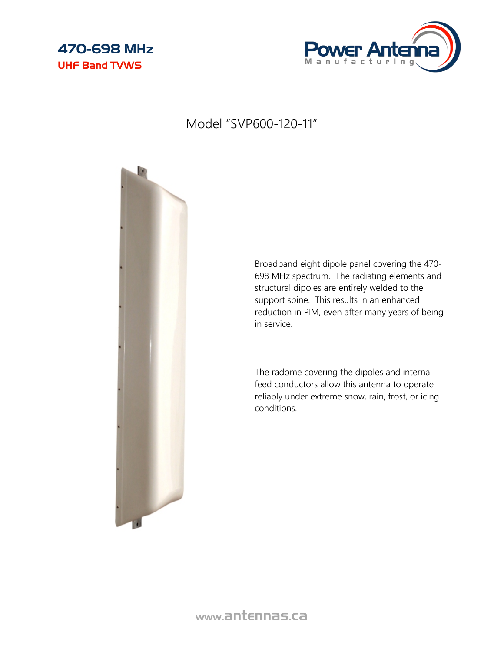

### Model "SVP600-120-11"



Broadband eight dipole panel covering the 470- 698 MHz spectrum. The radiating elements and structural dipoles are entirely welded to the support spine. This results in an enhanced reduction in PIM, even after many years of being in service.

The radome covering the dipoles and internal feed conductors allow this antenna to operate reliably under extreme snow, rain, frost, or icing conditions.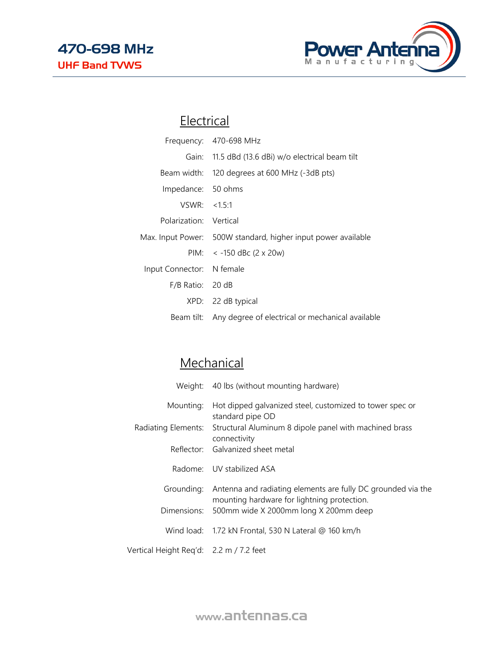

## **Electrical**

|                           | Frequency: 470-698 MHz                                        |
|---------------------------|---------------------------------------------------------------|
|                           | Gain: 11.5 dBd (13.6 dBi) w/o electrical beam tilt            |
|                           | Beam width: 120 degrees at 600 MHz (-3dB pts)                 |
| Impedance: 50 ohms        |                                                               |
| VSWR: < 1.5:1             |                                                               |
| Polarization: Vertical    |                                                               |
|                           | Max. Input Power: 500W standard, higher input power available |
|                           | PIM: $<$ -150 dBc (2 x 20w)                                   |
| Input Connector: N female |                                                               |
| $F/B$ Ratio: 20 dB        |                                                               |
|                           | XPD: 22 dB typical                                            |
|                           | Beam tilt: Any degree of electrical or mechanical available   |

# **Mechanical**

|                                         | Weight: 40 lbs (without mounting hardware)                                                                  |
|-----------------------------------------|-------------------------------------------------------------------------------------------------------------|
| Mounting:                               | Hot dipped galvanized steel, customized to tower spec or<br>standard pipe OD                                |
|                                         | Radiating Elements: Structural Aluminum 8 dipole panel with machined brass<br>connectivity                  |
|                                         | Reflector: Galvanized sheet metal                                                                           |
|                                         | Radome: UV stabilized ASA                                                                                   |
| Grounding:                              | Antenna and radiating elements are fully DC grounded via the<br>mounting hardware for lightning protection. |
|                                         | Dimensions: 500mm wide X 2000mm long X 200mm deep                                                           |
|                                         | Wind load: $1.72$ kN Frontal, 530 N Lateral @ 160 km/h                                                      |
| Vertical Height Reg'd: 2.2 m / 7.2 feet |                                                                                                             |

www.antennas.ca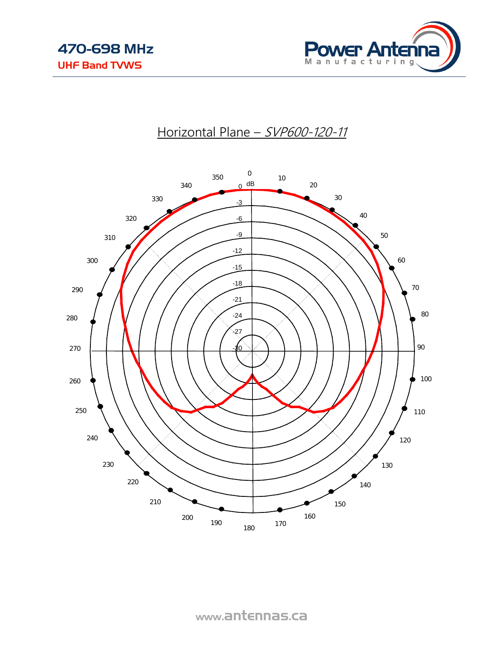

### Horizontal Plane - SVP600-120-11



www.antennas.ca